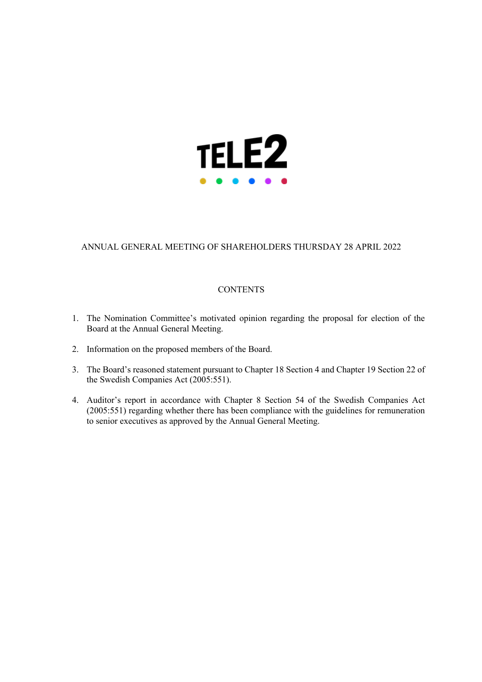

# ANNUAL GENERAL MEETING OF SHAREHOLDERS THURSDAY 28 APRIL 2022

# **CONTENTS**

- 1. The Nomination Committee's motivated opinion regarding the proposal for election of the Board at the Annual General Meeting.
- 2. Information on the proposed members of the Board.
- 3. The Board's reasoned statement pursuant to Chapter 18 Section 4 and Chapter 19 Section 22 of the Swedish Companies Act (2005:551).
- 4. Auditor's report in accordance with Chapter 8 Section 54 of the Swedish Companies Act (2005:551) regarding whether there has been compliance with the guidelines for remuneration to senior executives as approved by the Annual General Meeting.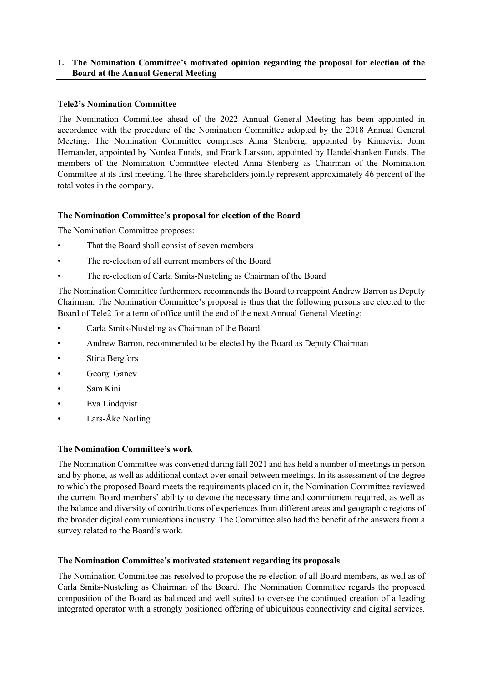# **1. The Nomination Committee's motivated opinion regarding the proposal for election of the Board at the Annual General Meeting**

# **Tele2's Nomination Committee**

The Nomination Committee ahead of the 2022 Annual General Meeting has been appointed in accordance with the procedure of the Nomination Committee adopted by the 2018 Annual General Meeting. The Nomination Committee comprises Anna Stenberg, appointed by Kinnevik, John Hernander, appointed by Nordea Funds, and Frank Larsson, appointed by Handelsbanken Funds. The members of the Nomination Committee elected Anna Stenberg as Chairman of the Nomination Committee at its first meeting. The three shareholders jointly represent approximately 46 percent of the total votes in the company.

# **The Nomination Committee's proposal for election of the Board**

The Nomination Committee proposes:

- That the Board shall consist of seven members
- The re-election of all current members of the Board
- The re-election of Carla Smits-Nusteling as Chairman of the Board

The Nomination Committee furthermore recommends the Board to reappoint Andrew Barron as Deputy Chairman. The Nomination Committee's proposal is thus that the following persons are elected to the Board of Tele2 for a term of office until the end of the next Annual General Meeting:

- Carla Smits-Nusteling as Chairman of the Board
- Andrew Barron, recommended to be elected by the Board as Deputy Chairman
- Stina Bergfors
- Georgi Ganev
- Sam Kini
- Eva Lindqvist
- Lars-Åke Norling

# **The Nomination Committee's work**

The Nomination Committee was convened during fall 2021 and has held a number of meetings in person and by phone, as well as additional contact over email between meetings. In its assessment of the degree to which the proposed Board meets the requirements placed on it, the Nomination Committee reviewed the current Board members' ability to devote the necessary time and commitment required, as well as the balance and diversity of contributions of experiences from different areas and geographic regions of the broader digital communications industry. The Committee also had the benefit of the answers from a survey related to the Board's work.

# **The Nomination Committee's motivated statement regarding its proposals**

The Nomination Committee has resolved to propose the re-election of all Board members, as well as of Carla Smits-Nusteling as Chairman of the Board. The Nomination Committee regards the proposed composition of the Board as balanced and well suited to oversee the continued creation of a leading integrated operator with a strongly positioned offering of ubiquitous connectivity and digital services.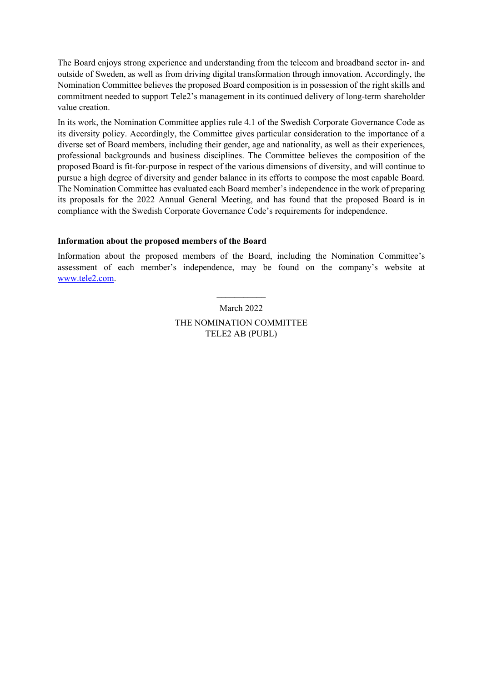The Board enjoys strong experience and understanding from the telecom and broadband sector in- and outside of Sweden, as well as from driving digital transformation through innovation. Accordingly, the Nomination Committee believes the proposed Board composition is in possession of the right skills and commitment needed to support Tele2's management in its continued delivery of long-term shareholder value creation.

In its work, the Nomination Committee applies rule 4.1 of the Swedish Corporate Governance Code as its diversity policy. Accordingly, the Committee gives particular consideration to the importance of a diverse set of Board members, including their gender, age and nationality, as well as their experiences, professional backgrounds and business disciplines. The Committee believes the composition of the proposed Board is fit-for-purpose in respect of the various dimensions of diversity, and will continue to pursue a high degree of diversity and gender balance in its efforts to compose the most capable Board. The Nomination Committee has evaluated each Board member's independence in the work of preparing its proposals for the 2022 Annual General Meeting, and has found that the proposed Board is in compliance with the Swedish Corporate Governance Code's requirements for independence.

# **Information about the proposed members of the Board**

Information about the proposed members of the Board, including the Nomination Committee's assessment of each member's independence, may be found on the company's website at www.tele2.com.

> March 2022 THE NOMINATION COMMITTEE TELE2 AB (PUBL)

 $\mathcal{L}_\text{max}$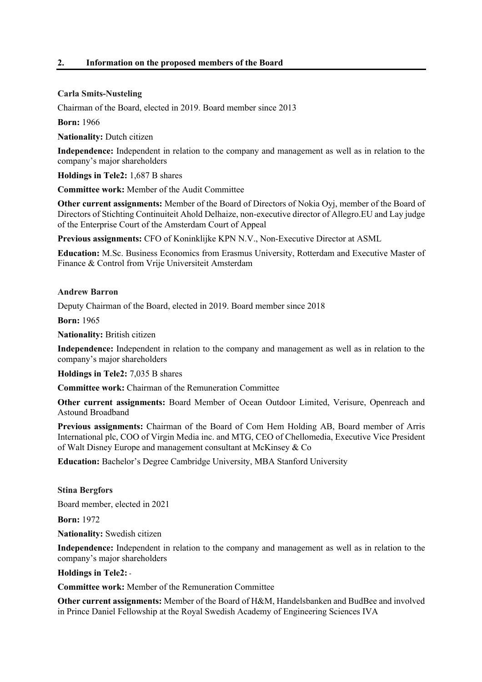# **2. Information on the proposed members of the Board**

# **Carla Smits-Nusteling**

Chairman of the Board, elected in 2019. Board member since 2013

**Born:** 1966

**Nationality:** Dutch citizen

**Independence:** Independent in relation to the company and management as well as in relation to the company's major shareholders

**Holdings in Tele2:** 1,687 B shares

**Committee work:** Member of the Audit Committee

**Other current assignments:** Member of the Board of Directors of Nokia Oyj, member of the Board of Directors of Stichting Continuiteit Ahold Delhaize, non-executive director of Allegro.EU and Lay judge of the Enterprise Court of the Amsterdam Court of Appeal

**Previous assignments:** CFO of Koninklijke KPN N.V., Non-Executive Director at ASML

**Education:** M.Sc. Business Economics from Erasmus University, Rotterdam and Executive Master of Finance & Control from Vrije Universiteit Amsterdam

## **Andrew Barron**

Deputy Chairman of the Board, elected in 2019. Board member since 2018

**Born:** 1965

**Nationality:** British citizen

**Independence:** Independent in relation to the company and management as well as in relation to the company's major shareholders

**Holdings in Tele2:** 7,035 B shares

**Committee work:** Chairman of the Remuneration Committee

**Other current assignments:** Board Member of Ocean Outdoor Limited, Verisure, Openreach and Astound Broadband

**Previous assignments:** Chairman of the Board of Com Hem Holding AB, Board member of Arris International plc, COO of Virgin Media inc. and MTG, CEO of Chellomedia, Executive Vice President of Walt Disney Europe and management consultant at McKinsey & Co

**Education:** Bachelor's Degree Cambridge University, MBA Stanford University

**Stina Bergfors**

Board member, elected in 2021

**Born:** 1972

**Nationality:** Swedish citizen

**Independence:** Independent in relation to the company and management as well as in relation to the company's major shareholders

**Holdings in Tele2:** -

**Committee work:** Member of the Remuneration Committee

**Other current assignments:** Member of the Board of H&M, Handelsbanken and BudBee and involved in Prince Daniel Fellowship at the Royal Swedish Academy of Engineering Sciences IVA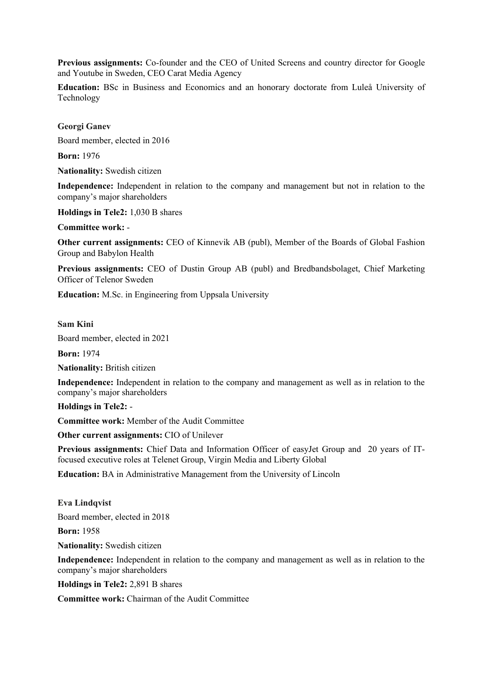**Previous assignments:** Co-founder and the CEO of United Screens and country director for Google and Youtube in Sweden, CEO Carat Media Agency

**Education:** BSc in Business and Economics and an honorary doctorate from Luleå University of Technology

**Georgi Ganev**

Board member, elected in 2016

**Born:** 1976

**Nationality:** Swedish citizen

**Independence:** Independent in relation to the company and management but not in relation to the company's major shareholders

**Holdings in Tele2:** 1,030 B shares

**Committee work:** -

**Other current assignments:** CEO of Kinnevik AB (publ), Member of the Boards of Global Fashion Group and Babylon Health

**Previous assignments:** CEO of Dustin Group AB (publ) and Bredbandsbolaget, Chief Marketing Officer of Telenor Sweden

**Education:** M.Sc. in Engineering from Uppsala University

**Sam Kini**

Board member, elected in 2021

**Born:** 1974

**Nationality:** British citizen

**Independence:** Independent in relation to the company and management as well as in relation to the company's major shareholders

**Holdings in Tele2:** -

**Committee work:** Member of the Audit Committee

**Other current assignments:** CIO of Unilever

**Previous assignments:** Chief Data and Information Officer of easyJet Group and 20 years of ITfocused executive roles at Telenet Group, Virgin Media and Liberty Global

**Education:** BA in Administrative Management from the University of Lincoln

**Eva Lindqvist** Board member, elected in 2018

**Born:** 1958

**Nationality:** Swedish citizen

**Independence:** Independent in relation to the company and management as well as in relation to the company's major shareholders

**Holdings in Tele2:** 2,891 B shares

**Committee work:** Chairman of the Audit Committee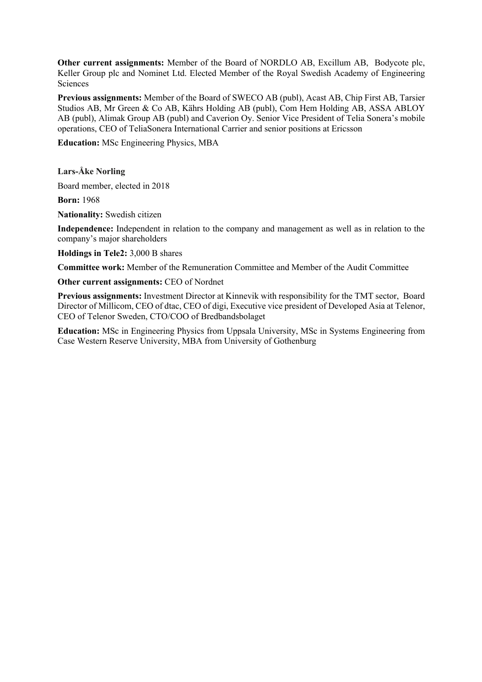**Other current assignments:** Member of the Board of NORDLO AB, Excillum AB, Bodycote plc, Keller Group plc and Nominet Ltd. Elected Member of the Royal Swedish Academy of Engineering Sciences

**Previous assignments:** Member of the Board of SWECO AB (publ), Acast AB, Chip First AB, Tarsier Studios AB, Mr Green & Co AB, Kährs Holding AB (publ), Com Hem Holding AB, ASSA ABLOY AB (publ), Alimak Group AB (publ) and Caverion Oy. Senior Vice President of Telia Sonera's mobile operations, CEO of TeliaSonera International Carrier and senior positions at Ericsson

**Education:** MSc Engineering Physics, MBA

**Lars-Åke Norling**

Board member, elected in 2018

**Born:** 1968

**Nationality:** Swedish citizen

**Independence:** Independent in relation to the company and management as well as in relation to the company's major shareholders

**Holdings in Tele2:** 3,000 B shares

**Committee work:** Member of the Remuneration Committee and Member of the Audit Committee

**Other current assignments:** CEO of Nordnet

**Previous assignments:** Investment Director at Kinnevik with responsibility for the TMT sector, Board Director of Millicom, CEO of dtac, CEO of digi, Executive vice president of Developed Asia at Telenor, CEO of Telenor Sweden, CTO/COO of Bredbandsbolaget

**Education:** MSc in Engineering Physics from Uppsala University, MSc in Systems Engineering from Case Western Reserve University, MBA from University of Gothenburg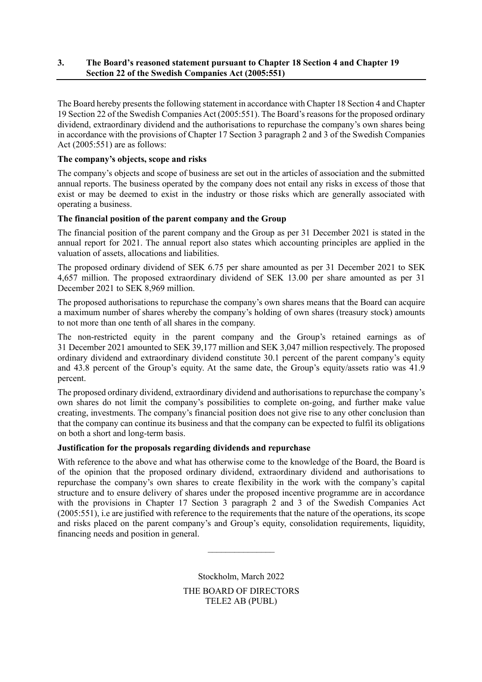# **3. The Board's reasoned statement pursuant to Chapter 18 Section 4 and Chapter 19 Section 22 of the Swedish Companies Act (2005:551)**

The Board hereby presents the following statement in accordance with Chapter 18 Section 4 and Chapter 19 Section 22 of the Swedish Companies Act (2005:551). The Board's reasons for the proposed ordinary dividend, extraordinary dividend and the authorisations to repurchase the company's own shares being in accordance with the provisions of Chapter 17 Section 3 paragraph 2 and 3 of the Swedish Companies Act (2005:551) are as follows:

# **The company's objects, scope and risks**

The company's objects and scope of business are set out in the articles of association and the submitted annual reports. The business operated by the company does not entail any risks in excess of those that exist or may be deemed to exist in the industry or those risks which are generally associated with operating a business.

# **The financial position of the parent company and the Group**

The financial position of the parent company and the Group as per 31 December 2021 is stated in the annual report for 2021. The annual report also states which accounting principles are applied in the valuation of assets, allocations and liabilities.

The proposed ordinary dividend of SEK 6.75 per share amounted as per 31 December 2021 to SEK 4,657 million. The proposed extraordinary dividend of SEK 13.00 per share amounted as per 31 December 2021 to SEK 8,969 million.

The proposed authorisations to repurchase the company's own shares means that the Board can acquire a maximum number of shares whereby the company's holding of own shares (treasury stock) amounts to not more than one tenth of all shares in the company.

The non-restricted equity in the parent company and the Group's retained earnings as of 31 December 2021 amounted to SEK 39,177 million and SEK 3,047 million respectively. The proposed ordinary dividend and extraordinary dividend constitute 30.1 percent of the parent company's equity and 43.8 percent of the Group's equity. At the same date, the Group's equity/assets ratio was 41.9 percent.

The proposed ordinary dividend, extraordinary dividend and authorisations to repurchase the company's own shares do not limit the company's possibilities to complete on-going, and further make value creating, investments. The company's financial position does not give rise to any other conclusion than that the company can continue its business and that the company can be expected to fulfil its obligations on both a short and long-term basis.

# **Justification for the proposals regarding dividends and repurchase**

With reference to the above and what has otherwise come to the knowledge of the Board, the Board is of the opinion that the proposed ordinary dividend, extraordinary dividend and authorisations to repurchase the company's own shares to create flexibility in the work with the company's capital structure and to ensure delivery of shares under the proposed incentive programme are in accordance with the provisions in Chapter 17 Section 3 paragraph 2 and 3 of the Swedish Companies Act (2005:551), i.e are justified with reference to the requirements that the nature of the operations, its scope and risks placed on the parent company's and Group's equity, consolidation requirements, liquidity, financing needs and position in general.

> Stockholm, March 2022 THE BOARD OF DIRECTORS TELE2 AB (PUBL)

 $\frac{1}{2}$